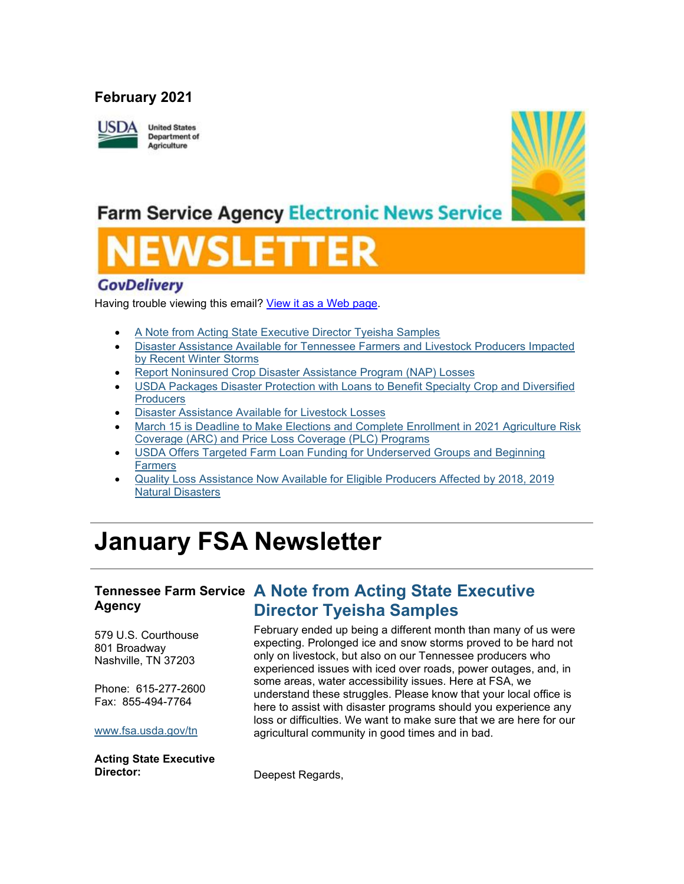### **February 2021**



# **Farm Service Agency Electronic News Service**

### **GovDelivery**

Having trouble viewing this email? [View it as a Web page.](https://content.govdelivery.com/accounts/USFSA/bulletins/2c40b66)

- [A Note from Acting State Executive Director Tyeisha Samples](https://admin.govdelivery.com/accounts/USFSA/bulletins?sortdesc=bulletinsort-sent_at&state=sent#link_2)
- [Disaster Assistance Available for Tennessee Farmers and Livestock Producers Impacted](https://admin.govdelivery.com/accounts/USFSA/bulletins?sortdesc=bulletinsort-sent_at&state=sent#link_4)  [by Recent Winter Storms](https://admin.govdelivery.com/accounts/USFSA/bulletins?sortdesc=bulletinsort-sent_at&state=sent#link_4)
- [Report Noninsured Crop Disaster Assistance Program \(NAP\) Losses](https://admin.govdelivery.com/accounts/USFSA/bulletins?sortdesc=bulletinsort-sent_at&state=sent#link_6)
- USDA [Packages Disaster Protection with Loans to Benefit Specialty Crop and Diversified](https://admin.govdelivery.com/accounts/USFSA/bulletins?sortdesc=bulletinsort-sent_at&state=sent#link_9)  **[Producers](https://admin.govdelivery.com/accounts/USFSA/bulletins?sortdesc=bulletinsort-sent_at&state=sent#link_9)**
- [Disaster Assistance Available for Livestock Losses](https://admin.govdelivery.com/accounts/USFSA/bulletins?sortdesc=bulletinsort-sent_at&state=sent#link_7)
- [March 15 is Deadline to Make Elections and Complete Enrollment in 2021 Agriculture Risk](https://admin.govdelivery.com/accounts/USFSA/bulletins?sortdesc=bulletinsort-sent_at&state=sent#link_1)  [Coverage \(ARC\) and Price Loss Coverage \(PLC\) Programs](https://admin.govdelivery.com/accounts/USFSA/bulletins?sortdesc=bulletinsort-sent_at&state=sent#link_1)
- [USDA Offers Targeted Farm Loan Funding for Underserved Groups and Beginning](https://admin.govdelivery.com/accounts/USFSA/bulletins?sortdesc=bulletinsort-sent_at&state=sent#link_8)  [Farmers](https://admin.govdelivery.com/accounts/USFSA/bulletins?sortdesc=bulletinsort-sent_at&state=sent#link_8)
- [Quality Loss Assistance Now Available for Eligible Producers Affected by 2018, 2019](https://admin.govdelivery.com/accounts/USFSA/bulletins?sortdesc=bulletinsort-sent_at&state=sent#link_3)  [Natural Disasters](https://admin.govdelivery.com/accounts/USFSA/bulletins?sortdesc=bulletinsort-sent_at&state=sent#link_3)

# **January FSA Newsletter**

### **Tennessee Farm Service A Note from Acting State Executive Agency**

579 U.S. Courthouse 801 Broadway Nashville, TN 37203

Phone: 615-277-2600 Fax: 855-494-7764

### [www.fsa.usda.gov/tn](http://www.fsa.usda.gov/xx?utm_medium=email&utm_source=govdelivery)

**Acting State Executive Director:**

**Director Tyeisha Samples** February ended up being a different month than many of us were expecting. Prolonged ice and snow storms proved to be hard not only on livestock, but also on our Tennessee producers who experienced issues with iced over roads, power outages, and, in some areas, water accessibility issues. Here at FSA, we understand these struggles. Please know that your local office is here to assist with disaster programs should you experience any loss or difficulties. We want to make sure that we are here for our

agricultural community in good times and in bad.

Deepest Regards,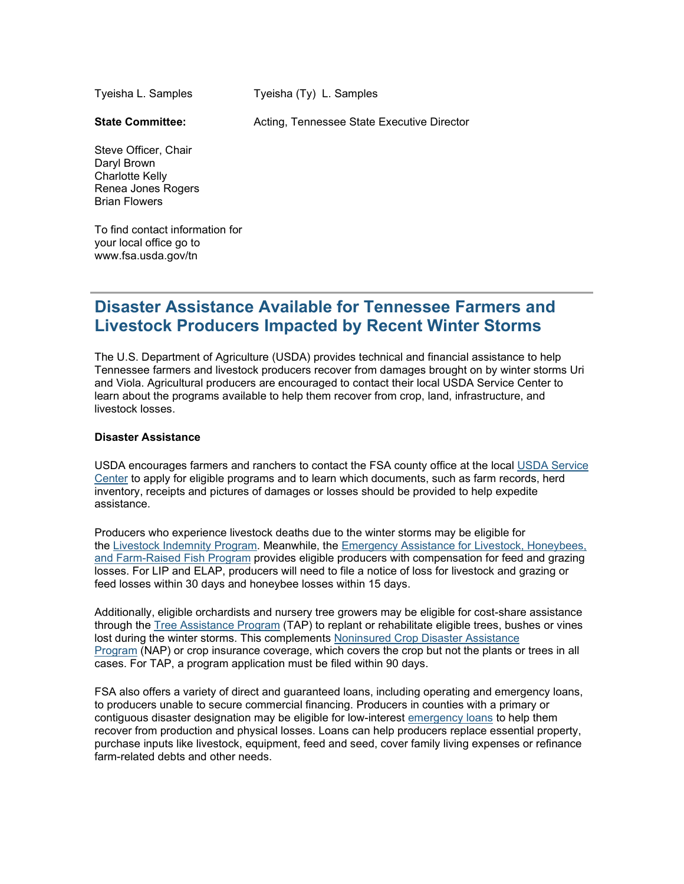Tyeisha L. Samples

Tyeisha (Ty) L. Samples

**State Committee:**

Acting, Tennessee State Executive Director

Steve Officer, Chair Daryl Brown Charlotte Kelly Renea Jones Rogers Brian Flowers

To find contact information for your local office go to www.fsa.usda.gov/tn

### **Disaster Assistance Available for Tennessee Farmers and Livestock Producers Impacted by Recent Winter Storms**

The U.S. Department of Agriculture (USDA) provides technical and financial assistance to help Tennessee farmers and livestock producers recover from damages brought on by winter storms Uri and Viola. Agricultural producers are encouraged to contact their local USDA Service Center to learn about the programs available to help them recover from crop, land, infrastructure, and livestock losses.

### **Disaster Assistance**

USDA encourages farmers and ranchers to contact the FSA county office at the local [USDA Service](http://www.farmers.gov/service-locator?utm_medium=email&utm_source=govdelivery)  [Center](http://www.farmers.gov/service-locator?utm_medium=email&utm_source=govdelivery) to apply for eligible programs and to learn which documents, such as farm records, herd inventory, receipts and pictures of damages or losses should be provided to help expedite assistance.

Producers who experience livestock deaths due to the winter storms may be eligible for the [Livestock Indemnity Program.](http://www.fsa.usda.gov/programs-and-services/disaster-assistance-program/livestock-indemnity/index?utm_medium=email&utm_source=govdelivery) Meanwhile, the [Emergency Assistance for Livestock, Honeybees,](http://www.fsa.usda.gov/programs-and-services/disaster-assistance-program/emergency-assist-for-livestock-honey-bees-fish/index?utm_medium=email&utm_source=govdelivery)  [and Farm-Raised Fish Program](http://www.fsa.usda.gov/programs-and-services/disaster-assistance-program/emergency-assist-for-livestock-honey-bees-fish/index?utm_medium=email&utm_source=govdelivery) provides eligible producers with compensation for feed and grazing losses. For LIP and ELAP, producers will need to file a notice of loss for livestock and grazing or feed losses within 30 days and honeybee losses within 15 days.

Additionally, eligible orchardists and nursery tree growers may be eligible for cost-share assistance through the [Tree Assistance Program](http://www.fsa.usda.gov/programs-and-services/disaster-assistance-program/tree-assistance-program/index?utm_medium=email&utm_source=govdelivery) (TAP) to replant or rehabilitate eligible trees, bushes or vines lost during the winter storms. This complements [Noninsured Crop Disaster Assistance](https://www.fsa.usda.gov/programs-and-services/disaster-assistance-program/noninsured-crop-disaster-assistance/index?utm_medium=email&utm_source=govdelivery)  [Program](https://www.fsa.usda.gov/programs-and-services/disaster-assistance-program/noninsured-crop-disaster-assistance/index?utm_medium=email&utm_source=govdelivery) (NAP) or crop insurance coverage, which covers the crop but not the plants or trees in all cases. For TAP, a program application must be filed within 90 days.

FSA also offers a variety of direct and guaranteed loans, including operating and emergency loans, to producers unable to secure commercial financing. Producers in counties with a primary or contiguous disaster designation may be eligible for low-interest [emergency loans](http://www.fsa.usda.gov/programs-and-services/farm-loan-programs/emergency-farm-loans/index?utm_medium=email&utm_source=govdelivery) to help them recover from production and physical losses. Loans can help producers replace essential property, purchase inputs like livestock, equipment, feed and seed, cover family living expenses or refinance farm-related debts and other needs.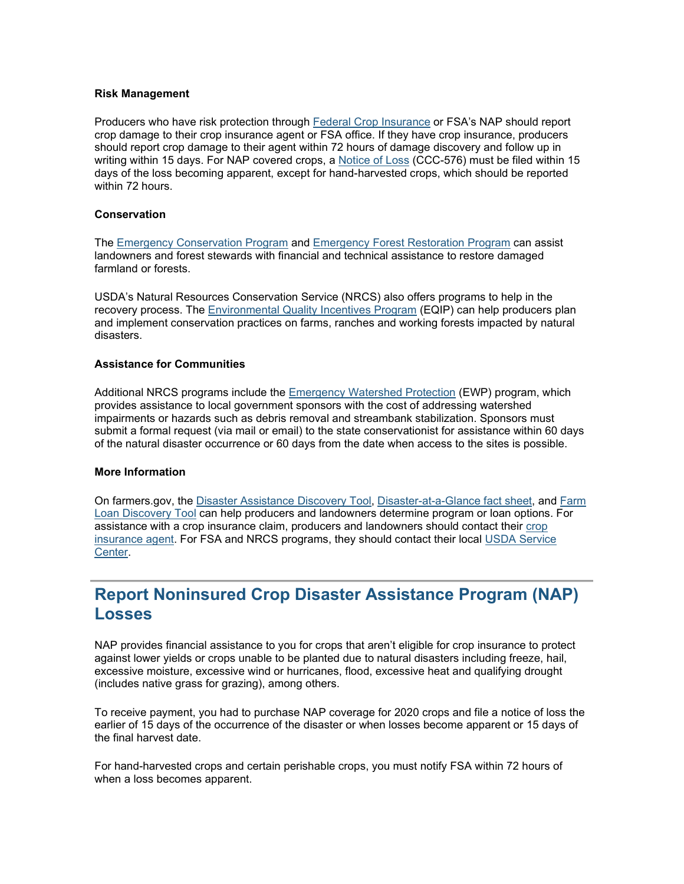#### **Risk Management**

Producers who have risk protection through [Federal Crop Insurance](https://www.rma.usda.gov/Federal-Crop-Insurance-Corporation?utm_medium=email&utm_source=govdelivery) or FSA's NAP should report crop damage to their crop insurance agent or FSA office. If they have crop insurance, producers should report crop damage to their agent within 72 hours of damage discovery and follow up in writing within 15 days. For NAP covered crops, a [Notice of Loss](https://forms.sc.egov.usda.gov/efcommon/eFileServices/eForms/CCC576.PDF?utm_medium=email&utm_source=govdelivery) (CCC-576) must be filed within 15 days of the loss becoming apparent, except for hand-harvested crops, which should be reported within 72 hours.

### **Conservation**

The [Emergency Conservation Program](http://www.fsa.usda.gov/programs-and-services/conservation-programs/emergency-conservation/index?utm_medium=email&utm_source=govdelivery) and [Emergency Forest Restoration Program](https://www.fsa.usda.gov/programs-and-services/disaster-assistance-program/emergency-forest-restoration/index?utm_medium=email&utm_source=govdelivery) can assist landowners and forest stewards with financial and technical assistance to restore damaged farmland or forests.

USDA's Natural Resources Conservation Service (NRCS) also offers programs to help in the recovery process. The [Environmental Quality Incentives Program](https://www.nrcs.usda.gov/wps/PA_NRCSConsumption/download?cid=nrcseprd1469022&ext=pdf&utm_medium=email&utm_source=govdelivery) (EQIP) can help producers plan and implement conservation practices on farms, ranches and working forests impacted by natural disasters.

### **Assistance for Communities**

Additional NRCS programs include the [Emergency Watershed Protection](https://www.nrcs.usda.gov/wps/portal/nrcs/detail/tx/programs/planning/ewpp/?cid=stelprdb1077088&utm_medium=email&utm_source=govdelivery) (EWP) program, which provides assistance to local government sponsors with the cost of addressing watershed impairments or hazards such as debris removal and streambank stabilization. Sponsors must submit a formal request (via mail or email) to the state conservationist for assistance within 60 days of the natural disaster occurrence or 60 days from the date when access to the sites is possible.

### **More Information**

On farmers.gov, the [Disaster Assistance Discovery Tool,](https://www.farmers.gov/node/28989?utm_medium=email&utm_source=govdelivery) [Disaster-at-a-Glance fact sheet,](https://www.farmers.gov/sites/default/files/2020-04/FSA_DisasterAssistance_at_a_glance_brochure_.pdf?utm_medium=email&utm_source=govdelivery) and [Farm](https://www.farmers.gov/fund/farm-loan-discovery-tool?utm_medium=email&utm_source=govdelivery)  [Loan Discovery Tool](https://www.farmers.gov/fund/farm-loan-discovery-tool?utm_medium=email&utm_source=govdelivery) can help producers and landowners determine program or loan options. For assistance with a crop insurance claim, producers and landowners should contact their [crop](https://www.rma.usda.gov/en/Information-Tools/Agent-Locator-Page?utm_medium=email&utm_source=govdelivery)  [insurance agent.](https://www.rma.usda.gov/en/Information-Tools/Agent-Locator-Page?utm_medium=email&utm_source=govdelivery) For FSA and NRCS programs, they should contact their local [USDA Service](http://www.farmers.gov/service-center-locator?utm_medium=email&utm_source=govdelivery)  [Center.](http://www.farmers.gov/service-center-locator?utm_medium=email&utm_source=govdelivery)

### **Report Noninsured Crop Disaster Assistance Program (NAP) Losses**

NAP provides financial assistance to you for crops that aren't eligible for crop insurance to protect against lower yields or crops unable to be planted due to natural disasters including freeze, hail, excessive moisture, excessive wind or hurricanes, flood, excessive heat and qualifying drought (includes native grass for grazing), among others.

To receive payment, you had to purchase NAP coverage for 2020 crops and file a notice of loss the earlier of 15 days of the occurrence of the disaster or when losses become apparent or 15 days of the final harvest date.

For hand-harvested crops and certain perishable crops, you must notify FSA within 72 hours of when a loss becomes apparent.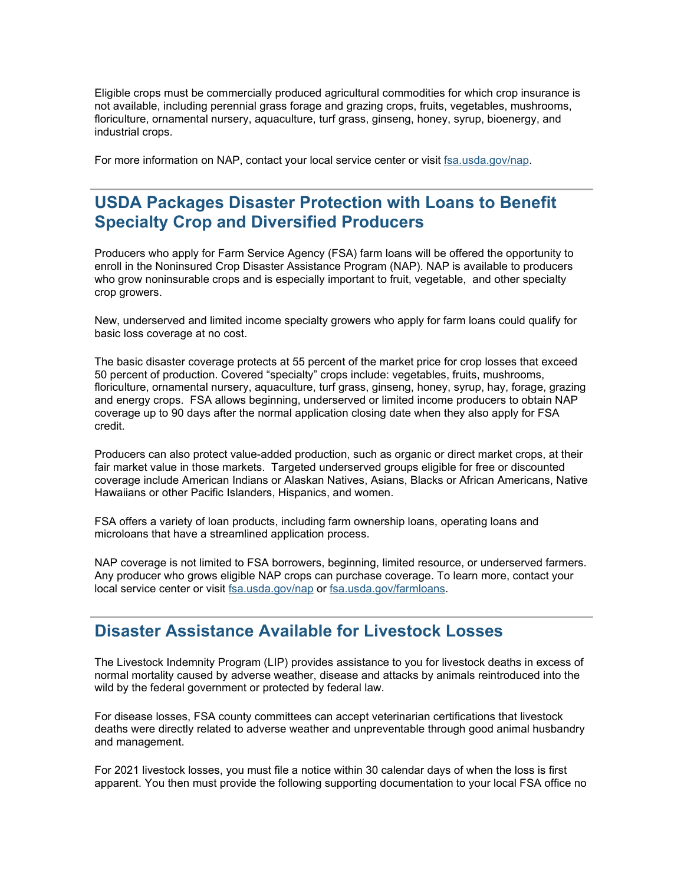Eligible crops must be commercially produced agricultural commodities for which crop insurance is not available, including perennial grass forage and grazing crops, fruits, vegetables, mushrooms, floriculture, ornamental nursery, aquaculture, turf grass, ginseng, honey, syrup, bioenergy, and industrial crops.

For more information on NAP, contact your local service center or visit [fsa.usda.gov/nap.](http://www.fsa.usda.gov/nap?utm_medium=email&utm_source=govdelivery)

## **USDA Packages Disaster Protection with Loans to Benefit Specialty Crop and Diversified Producers**

Producers who apply for Farm Service Agency (FSA) farm loans will be offered the opportunity to enroll in the Noninsured Crop Disaster Assistance Program (NAP). NAP is available to producers who grow noninsurable crops and is especially important to fruit, vegetable, and other specialty crop growers.

New, underserved and limited income specialty growers who apply for farm loans could qualify for basic loss coverage at no cost.

The basic disaster coverage protects at 55 percent of the market price for crop losses that exceed 50 percent of production. Covered "specialty" crops include: vegetables, fruits, mushrooms, floriculture, ornamental nursery, aquaculture, turf grass, ginseng, honey, syrup, hay, forage, grazing and energy crops. FSA allows beginning, underserved or limited income producers to obtain NAP coverage up to 90 days after the normal application closing date when they also apply for FSA credit.

Producers can also protect value-added production, such as organic or direct market crops, at their fair market value in those markets. Targeted underserved groups eligible for free or discounted coverage include American Indians or Alaskan Natives, Asians, Blacks or African Americans, Native Hawaiians or other Pacific Islanders, Hispanics, and women.

FSA offers a variety of loan products, including farm ownership loans, operating loans and microloans that have a streamlined application process.

NAP coverage is not limited to FSA borrowers, beginning, limited resource, or underserved farmers. Any producer who grows eligible NAP crops can purchase coverage. To learn more, contact your local service center or visit [fsa.usda.gov/nap](http://fsa.usda.gov/nap?utm_medium=email&utm_source=govdelivery) or [fsa.usda.gov/farmloans.](https://www.fsa.usda.gov/programs-and-services/farm-loan-programs/index?utm_medium=email&utm_source=govdelivery)

### **Disaster Assistance Available for Livestock Losses**

The Livestock Indemnity Program (LIP) provides assistance to you for livestock deaths in excess of normal mortality caused by adverse weather, disease and attacks by animals reintroduced into the wild by the federal government or protected by federal law.

For disease losses, FSA county committees can accept veterinarian certifications that livestock deaths were directly related to adverse weather and unpreventable through good animal husbandry and management.

For 2021 livestock losses, you must file a notice within 30 calendar days of when the loss is first apparent. You then must provide the following supporting documentation to your local FSA office no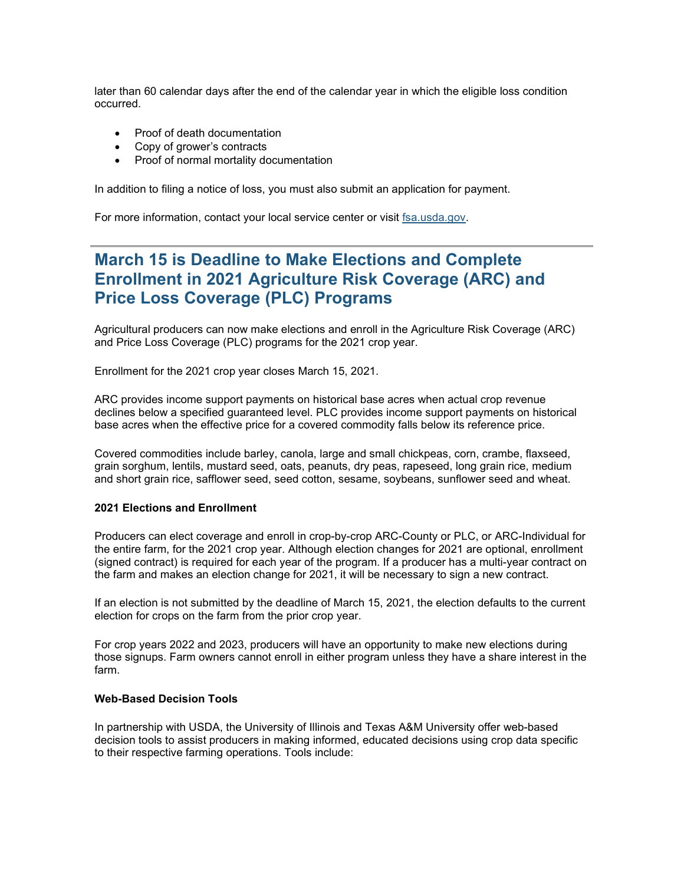later than 60 calendar days after the end of the calendar year in which the eligible loss condition occurred.

- Proof of death documentation
- Copy of grower's contracts
- Proof of normal mortality documentation

In addition to filing a notice of loss, you must also submit an application for payment.

For more information, contact your local service center or visit [fsa.usda.gov.](http://www.fsa.usda.gov/?utm_medium=email&utm_source=govdelivery)

### **March 15 is Deadline to Make Elections and Complete Enrollment in 2021 Agriculture Risk Coverage (ARC) and Price Loss Coverage (PLC) Programs**

Agricultural producers can now make elections and enroll in the Agriculture Risk Coverage (ARC) and Price Loss Coverage (PLC) programs for the 2021 crop year.

Enrollment for the 2021 crop year closes March 15, 2021.

ARC provides income support payments on historical base acres when actual crop revenue declines below a specified guaranteed level. PLC provides income support payments on historical base acres when the effective price for a covered commodity falls below its reference price.

Covered commodities include barley, canola, large and small chickpeas, corn, crambe, flaxseed, grain sorghum, lentils, mustard seed, oats, peanuts, dry peas, rapeseed, long grain rice, medium and short grain rice, safflower seed, seed cotton, sesame, soybeans, sunflower seed and wheat.

### **2021 Elections and Enrollment**

Producers can elect coverage and enroll in crop-by-crop ARC-County or PLC, or ARC-Individual for the entire farm, for the 2021 crop year. Although election changes for 2021 are optional, enrollment (signed contract) is required for each year of the program. If a producer has a multi-year contract on the farm and makes an election change for 2021, it will be necessary to sign a new contract.

If an election is not submitted by the deadline of March 15, 2021, the election defaults to the current election for crops on the farm from the prior crop year.

For crop years 2022 and 2023, producers will have an opportunity to make new elections during those signups. Farm owners cannot enroll in either program unless they have a share interest in the farm.

#### **Web-Based Decision Tools**

In partnership with USDA, the University of Illinois and Texas A&M University offer web-based decision tools to assist producers in making informed, educated decisions using crop data specific to their respective farming operations. Tools include: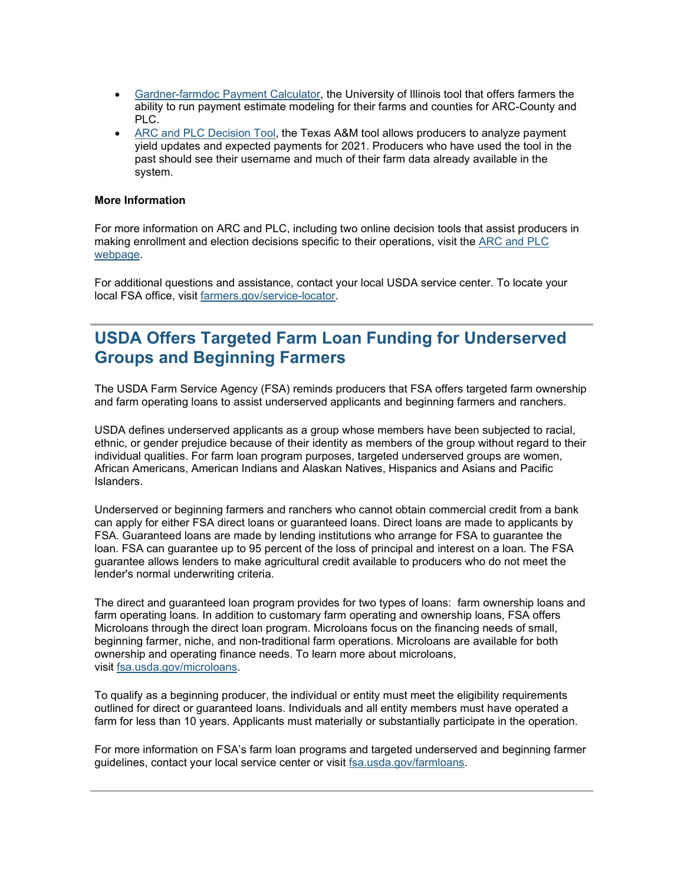- [Gardner-farmdoc Payment Calculator,](https://gcc02.safelinks.protection.outlook.com/?data=04%7C01%7C%7C7927dde7a5a140fd9e4108d87c2778f1%7Ced5b36e701ee4ebc867ee03cfa0d4697%7C0%7C0%7C637395856261304709%7CUnknown%7CTWFpbGZsb3d8eyJWIjoiMC4wLjAwMDAiLCJQIjoiV2luMzIiLCJBTiI6Ik1haWwiLCJXVCI6Mn0%3D%7C1000&reserved=0&sdata=UuxxjcKvMO4DFsGqxOrxogQBPMAdQr7ZGO0NA0eiVa0%3D&url=https%3A%2F%2Ffarmdocdaily.illinois.edu%2F2019%2F08%2Fintroducing-the-gardner-farmdoc-payment-calculator.html%3Futm_medium%3Demail%26utm_source%3Dgovdelivery&utm_medium=email&utm_source=govdelivery) the University of Illinois tool that offers farmers the ability to run payment estimate modeling for their farms and counties for ARC-County and PLC.
- [ARC and PLC Decision Tool,](https://gcc02.safelinks.protection.outlook.com/?data=04%7C01%7C%7C7927dde7a5a140fd9e4108d87c2778f1%7Ced5b36e701ee4ebc867ee03cfa0d4697%7C0%7C0%7C637395856261314665%7CUnknown%7CTWFpbGZsb3d8eyJWIjoiMC4wLjAwMDAiLCJQIjoiV2luMzIiLCJBTiI6Ik1haWwiLCJXVCI6Mn0%3D%7C1000&reserved=0&sdata=OcD62mTpEITzyuI8DfbJvrDmeXWtt%2FYzVp9s5ngIyi0%3D&url=https%3A%2F%2Fwww.afpc.tamu.edu%2F%3Futm_medium%3Demail%26utm_source%3Dgovdelivery&utm_medium=email&utm_source=govdelivery) the Texas A&M tool allows producers to analyze payment yield updates and expected payments for 2021. Producers who have used the tool in the past should see their username and much of their farm data already available in the system.

### **More Information**

For more information on ARC and PLC, including two online decision tools that assist producers in making enrollment and election decisions specific to their operations, visit the [ARC and PLC](https://gcc02.safelinks.protection.outlook.com/?data=04%7C01%7C%7C7927dde7a5a140fd9e4108d87c2778f1%7Ced5b36e701ee4ebc867ee03cfa0d4697%7C0%7C0%7C637395856261314665%7CUnknown%7CTWFpbGZsb3d8eyJWIjoiMC4wLjAwMDAiLCJQIjoiV2luMzIiLCJBTiI6Ik1haWwiLCJXVCI6Mn0%3D%7C1000&reserved=0&sdata=YXHrSHnQl%2BhEhq%2FzLf6bZeS0ik4gc4k22Knh8GDgbxI%3D&url=https%3A%2F%2Fwww.fsa.usda.gov%2Fprograms-and-services%2Farcplc_program%2Findex%3Futm_medium%3Demail%26utm_source%3Dgovdelivery&utm_medium=email&utm_source=govdelivery)  [webpage.](https://gcc02.safelinks.protection.outlook.com/?data=04%7C01%7C%7C7927dde7a5a140fd9e4108d87c2778f1%7Ced5b36e701ee4ebc867ee03cfa0d4697%7C0%7C0%7C637395856261314665%7CUnknown%7CTWFpbGZsb3d8eyJWIjoiMC4wLjAwMDAiLCJQIjoiV2luMzIiLCJBTiI6Ik1haWwiLCJXVCI6Mn0%3D%7C1000&reserved=0&sdata=YXHrSHnQl%2BhEhq%2FzLf6bZeS0ik4gc4k22Knh8GDgbxI%3D&url=https%3A%2F%2Fwww.fsa.usda.gov%2Fprograms-and-services%2Farcplc_program%2Findex%3Futm_medium%3Demail%26utm_source%3Dgovdelivery&utm_medium=email&utm_source=govdelivery)

For additional questions and assistance, contact your local USDA service center. To locate your local FSA office, visit [farmers.gov/service-locator.](https://www.farmers.gov/service-center-locator?utm_medium=email&utm_source=govdelivery)

### **USDA Offers Targeted Farm Loan Funding for Underserved Groups and Beginning Farmers**

The USDA Farm Service Agency (FSA) reminds producers that FSA offers targeted farm ownership and farm operating loans to assist underserved applicants and beginning farmers and ranchers.

USDA defines underserved applicants as a group whose members have been subjected to racial, ethnic, or gender prejudice because of their identity as members of the group without regard to their individual qualities. For farm loan program purposes, targeted underserved groups are women, African Americans, American Indians and Alaskan Natives, Hispanics and Asians and Pacific Islanders.

Underserved or beginning farmers and ranchers who cannot obtain commercial credit from a bank can apply for either FSA direct loans or guaranteed loans. Direct loans are made to applicants by FSA. Guaranteed loans are made by lending institutions who arrange for FSA to guarantee the loan. FSA can guarantee up to 95 percent of the loss of principal and interest on a loan. The FSA guarantee allows lenders to make agricultural credit available to producers who do not meet the lender's normal underwriting criteria.

The direct and guaranteed loan program provides for two types of loans: farm ownership loans and farm operating loans. In addition to customary farm operating and ownership loans, FSA offers Microloans through the direct loan program. Microloans focus on the financing needs of small, beginning farmer, niche, and non-traditional farm operations. Microloans are available for both ownership and operating finance needs. To learn more about microloans, visit [fsa.usda.gov/microloans.](http://www.fsa.usda.gov/microloans?utm_medium=email&utm_source=govdelivery)

To qualify as a beginning producer, the individual or entity must meet the eligibility requirements outlined for direct or guaranteed loans. Individuals and all entity members must have operated a farm for less than 10 years. Applicants must materially or substantially participate in the operation.

For more information on FSA's farm loan programs and targeted underserved and beginning farmer guidelines, contact your local service center or visit [fsa.usda.gov/farmloans.](http://www.fsa.usda.gov/farmloans?utm_medium=email&utm_source=govdelivery)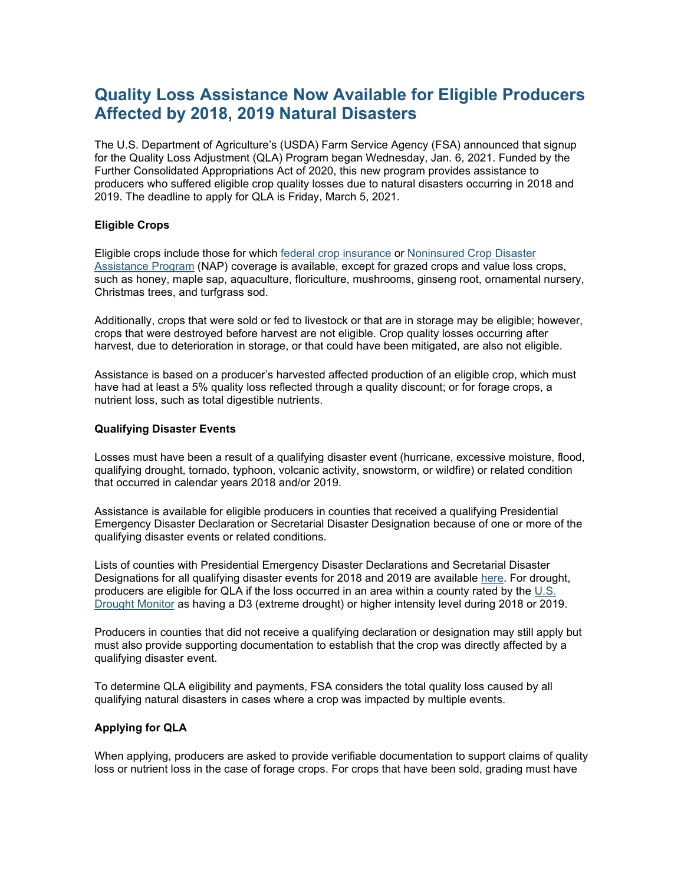## **Quality Loss Assistance Now Available for Eligible Producers Affected by 2018, 2019 Natural Disasters**

The U.S. Department of Agriculture's (USDA) Farm Service Agency (FSA) announced that signup for the Quality Loss Adjustment (QLA) Program began Wednesday, Jan. 6, 2021. Funded by the Further Consolidated Appropriations Act of 2020, this new program provides assistance to producers who suffered eligible crop quality losses due to natural disasters occurring in 2018 and 2019. The deadline to apply for QLA is Friday, March 5, 2021.

### **Eligible Crops**

Eligible crops include those for which [federal crop insurance](http://www.rma.usda.gov/?utm_medium=email&utm_source=govdelivery) or [Noninsured Crop Disaster](https://www.fsa.usda.gov/programs-and-services/disaster-assistance-program/noninsured-crop-disaster-assistance/index?utm_medium=email&utm_source=govdelivery)  [Assistance Program](https://www.fsa.usda.gov/programs-and-services/disaster-assistance-program/noninsured-crop-disaster-assistance/index?utm_medium=email&utm_source=govdelivery) (NAP) coverage is available, except for grazed crops and value loss crops, such as honey, maple sap, aquaculture, floriculture, mushrooms, ginseng root, ornamental nursery, Christmas trees, and turfgrass sod.

Additionally, crops that were sold or fed to livestock or that are in storage may be eligible; however, crops that were destroyed before harvest are not eligible. Crop quality losses occurring after harvest, due to deterioration in storage, or that could have been mitigated, are also not eligible.

Assistance is based on a producer's harvested affected production of an eligible crop, which must have had at least a 5% quality loss reflected through a quality discount; or for forage crops, a nutrient loss, such as total digestible nutrients.

#### **Qualifying Disaster Events**

Losses must have been a result of a qualifying disaster event (hurricane, excessive moisture, flood, qualifying drought, tornado, typhoon, volcanic activity, snowstorm, or wildfire) or related condition that occurred in calendar years 2018 and/or 2019.

Assistance is available for eligible producers in counties that received a qualifying Presidential Emergency Disaster Declaration or Secretarial Disaster Designation because of one or more of the qualifying disaster events or related conditions.

Lists of counties with Presidential Emergency Disaster Declarations and Secretarial Disaster Designations for all qualifying disaster events for 2018 and 2019 are available [here.](https://www.farmers.gov/recover/whip-plus/eligible-counties?utm_medium=email&utm_source=govdelivery) For drought, producers are eligible for QLA if the loss occurred in an area within a county rated by the [U.S.](https://droughtmonitor.unl.edu/?utm_medium=email&utm_source=govdelivery)  [Drought Monitor](https://droughtmonitor.unl.edu/?utm_medium=email&utm_source=govdelivery) as having a D3 (extreme drought) or higher intensity level during 2018 or 2019.

Producers in counties that did not receive a qualifying declaration or designation may still apply but must also provide supporting documentation to establish that the crop was directly affected by a qualifying disaster event.

To determine QLA eligibility and payments, FSA considers the total quality loss caused by all qualifying natural disasters in cases where a crop was impacted by multiple events.

### **Applying for QLA**

When applying, producers are asked to provide verifiable documentation to support claims of quality loss or nutrient loss in the case of forage crops. For crops that have been sold, grading must have